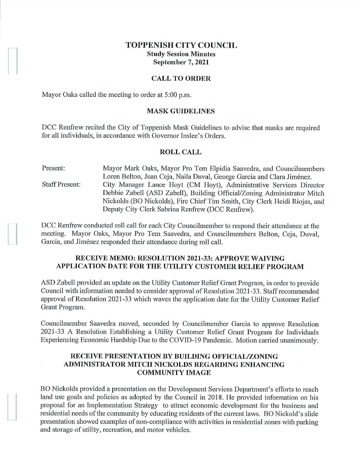# **TOPPENISH CITY COUNCIL Study Session Minutes September** 7, **2021**

## **CALL TO ORDER**

Mayor Oaks called the meeting to order at 5:00 p.m.

### **MASK GUIDELINES**

DCC Renfrew recited the City of Toppenish Mask Guidelines to advise that masks are required for all individuals, in accordance with Governor Inslee's Orders.

#### **ROLL CALL**

Present: Staff Present: Mayor Mark Oaks, Mayor Pro Tern Elpidia Saavedra, and Councilmembers Loren Belton, Juan Ceja, Naila Duval, George Garcia and Clara Jimenez. City Manager Lance Hoyt (CM Hoyt), Administrative Services Director Debbie Zabell (ASD Zabell), Building Official/Zoning Administrator Mitch Nickolds (BO Nickolds), Fire Chief Tim Smith, City Clerk Heidi Riojas, and Deputy City Clerk Sabrina Renfrew (DCC Renfrew).

DCC Renfrew conducted roll call for each City Councilmember to respond their attendance at the meeting. Mayor Oaks, Mayor Pro Tern Saavedra, and Councilmembers Belton, Ceja, Duval, Garcia, and Jiménez responded their attendance during roll call.

# **RECEIVE MEMO: RESOLUTION 2021-33: APPROVE WAIVING APPLICATION DATE FOR THE UTILITY CUSTOMER RELIEF PROGRAM**

ASD Zabell provided an update on the Utility Customer Relief Grant Program, in order to provide Council with information needed to consider approval of Resolution 2021-33. Staff recommended approval of Resolution 2021-33 which waves the application date for the Utility Customer Relief Grant Program.

Councilmember Saavedra moved, seconded by Councilmember Garcia to approve Resolution 2021-33 A Resolution Establishing a Utility Customer Relief Grant Program for Individuals Experiencing Economic Hardship Due to the COVID-19 Pandemic. Motion carried unanimously.

# **RECEIVE PRESENTATION BY BUILDING OFFICIAL/ZONING ADMINISTRATOR MITCH NICKOLDS REGARDING ENHANCING COMMUNITY IMAGE**

BO Nickolds provided a presentation on the Development Services Department's efforts to reach land use goals and policies as adopted by the Council in 2018. He provided information on his proposal for an Implementation Strategy to attract economic development for the business and residential needs of the conununity by educating residents of the current laws. BO Nickold's slide presentation showed examples of non-compliance with activities in residential zones with parking and storage of utility, recreation, and motor vehicles.

 $\mathbf{I}$